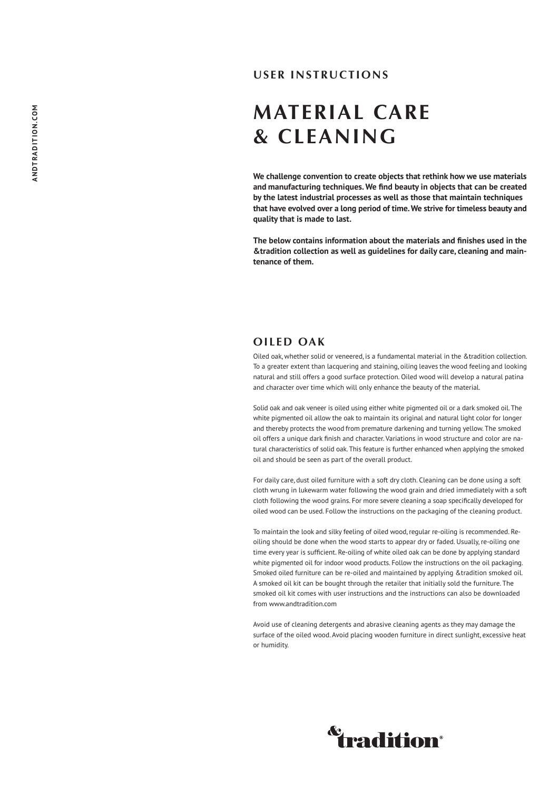## **USER INSTRUCTIONS**

# **MATERIAL CARE & CLEANING**

**We challenge convention to create objects that rethink how we use materials and manufacturing techniques. We find beauty in objects that can be created by the latest industrial processes as well as those that maintain techniques that have evolved over a long period of time. We strive for timeless beauty and quality that is made to last.**

**The below contains information about the materials and finishes used in the &tradition collection as well as guidelines for daily care, cleaning and maintenance of them.** 

#### **OILED OAK**

Oiled oak, whether solid or veneered, is a fundamental material in the &tradition collection. To a greater extent than lacquering and staining, oiling leaves the wood feeling and looking natural and still offers a good surface protection. Oiled wood will develop a natural patina and character over time which will only enhance the beauty of the material.

Solid oak and oak veneer is oiled using either white pigmented oil or a dark smoked oil. The white pigmented oil allow the oak to maintain its original and natural light color for longer and thereby protects the wood from premature darkening and turning yellow. The smoked oil offers a unique dark finish and character. Variations in wood structure and color are natural characteristics of solid oak. This feature is further enhanced when applying the smoked oil and should be seen as part of the overall product.

For daily care, dust oiled furniture with a soft dry cloth. Cleaning can be done using a soft cloth wrung in lukewarm water following the wood grain and dried immediately with a soft cloth following the wood grains. For more severe cleaning a soap specifically developed for oiled wood can be used. Follow the instructions on the packaging of the cleaning product.

To maintain the look and silky feeling of oiled wood, regular re-oiling is recommended. Reoiling should be done when the wood starts to appear dry or faded. Usually, re-oiling one time every year is sufficient. Re-oiling of white oiled oak can be done by applying standard white pigmented oil for indoor wood products. Follow the instructions on the oil packaging. Smoked oiled furniture can be re-oiled and maintained by applying &tradition smoked oil. A smoked oil kit can be bought through the retailer that initially sold the furniture. The smoked oil kit comes with user instructions and the instructions can also be downloaded from www.andtradition.com

Avoid use of cleaning detergents and abrasive cleaning agents as they may damage the surface of the oiled wood. Avoid placing wooden furniture in direct sunlight, excessive heat or humidity.

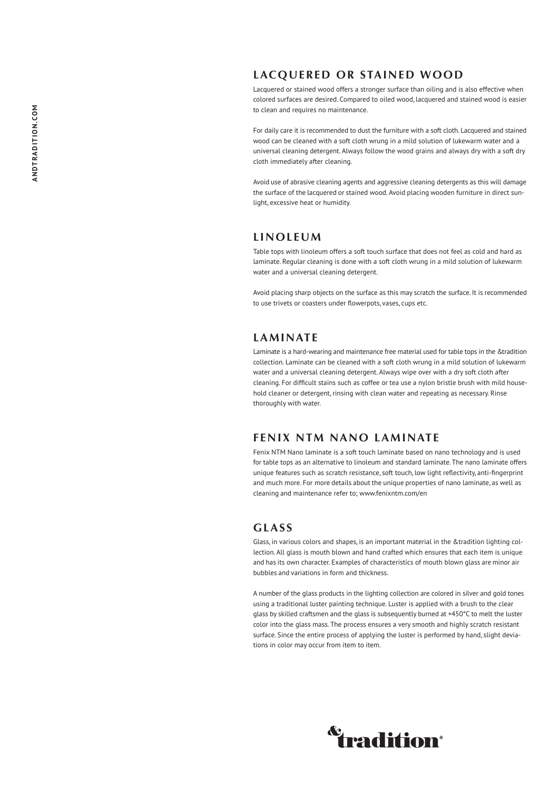# **LACQUERED OR STAINED WOOD**

Lacquered or stained wood offers a stronger surface than oiling and is also effective when colored surfaces are desired. Compared to oiled wood, lacquered and stained wood is easier to clean and requires no maintenance.

For daily care it is recommended to dust the furniture with a soft cloth. Lacquered and stained wood can be cleaned with a soft cloth wrung in a mild solution of lukewarm water and a universal cleaning detergent. Always follow the wood grains and always dry with a soft dry cloth immediately after cleaning.

Avoid use of abrasive cleaning agents and aggressive cleaning detergents as this will damage the surface of the lacquered or stained wood. Avoid placing wooden furniture in direct sunlight, excessive heat or humidity.

#### **LINOLEUM**

Table tops with linoleum offers a soft touch surface that does not feel as cold and hard as laminate. Regular cleaning is done with a soft cloth wrung in a mild solution of lukewarm water and a universal cleaning detergent.

Avoid placing sharp objects on the surface as this may scratch the surface. It is recommended to use trivets or coasters under flowerpots, vases, cups etc.

## **LAMINATE**

Laminate is a hard-wearing and maintenance free material used for table tops in the &tradition collection. Laminate can be cleaned with a soft cloth wrung in a mild solution of lukewarm water and a universal cleaning detergent. Always wipe over with a dry soft cloth after cleaning. For difficult stains such as coffee or tea use a nylon bristle brush with mild household cleaner or detergent, rinsing with clean water and repeating as necessary. Rinse thoroughly with water.

## **FENIX NTM NANO LAMINATE**

Fenix NTM Nano laminate is a soft touch laminate based on nano technology and is used for table tops as an alternative to linoleum and standard laminate. The nano laminate offers unique features such as scratch resistance, soft touch, low light reflectivity, anti-fingerprint and much more. For more details about the unique properties of nano laminate, as well as cleaning and maintenance refer to; www.fenixntm.com/en

# **GLASS**

Glass, in various colors and shapes, is an important material in the &tradition lighting collection. All glass is mouth blown and hand crafted which ensures that each item is unique and has its own character. Examples of characteristics of mouth blown glass are minor air bubbles and variations in form and thickness.

A number of the glass products in the lighting collection are colored in silver and gold tones using a traditional luster painting technique. Luster is applied with a brush to the clear glass by skilled craftsmen and the glass is subsequently burned at +450°C to melt the luster color into the glass mass. The process ensures a very smooth and highly scratch resistant surface. Since the entire process of applying the luster is performed by hand, slight deviations in color may occur from item to item.

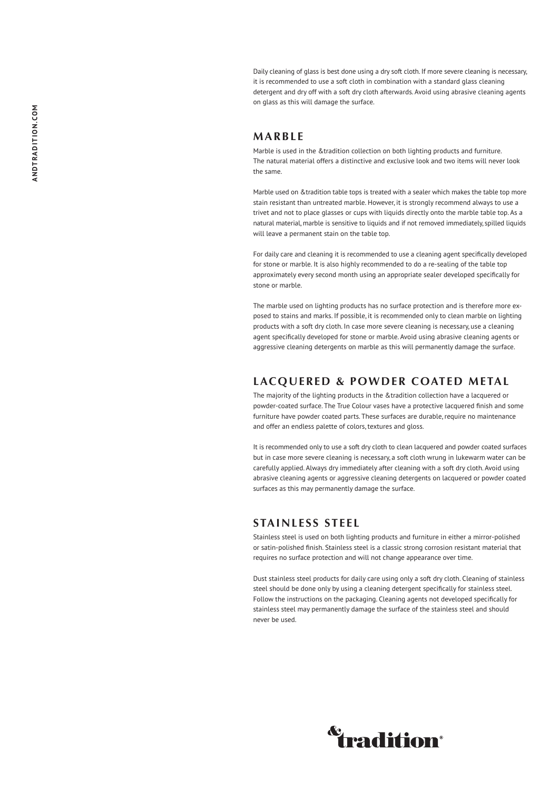Daily cleaning of glass is best done using a dry soft cloth. If more severe cleaning is necessary, it is recommended to use a soft cloth in combination with a standard glass cleaning detergent and dry off with a soft dry cloth afterwards. Avoid using abrasive cleaning agents on glass as this will damage the surface.

#### **MARBLE**

Marble is used in the &tradition collection on both lighting products and furniture. The natural material offers a distinctive and exclusive look and two items will never look the same.

Marble used on &tradition table tops is treated with a sealer which makes the table top more stain resistant than untreated marble. However, it is strongly recommend always to use a trivet and not to place glasses or cups with liquids directly onto the marble table top. As a natural material, marble is sensitive to liquids and if not removed immediately, spilled liquids will leave a permanent stain on the table top.

For daily care and cleaning it is recommended to use a cleaning agent specifically developed for stone or marble. It is also highly recommended to do a re-sealing of the table top approximately every second month using an appropriate sealer developed specifically for stone or marble.

The marble used on lighting products has no surface protection and is therefore more exposed to stains and marks. If possible, it is recommended only to clean marble on lighting products with a soft dry cloth. In case more severe cleaning is necessary, use a cleaning agent specifically developed for stone or marble. Avoid using abrasive cleaning agents or aggressive cleaning detergents on marble as this will permanently damage the surface.

# **LACQUERED & POWDER COATED METAL**

The majority of the lighting products in the &tradition collection have a lacquered or powder-coated surface. The True Colour vases have a protective lacquered finish and some furniture have powder coated parts. These surfaces are durable, require no maintenance and offer an endless palette of colors, textures and gloss.

It is recommended only to use a soft dry cloth to clean lacquered and powder coated surfaces but in case more severe cleaning is necessary, a soft cloth wrung in lukewarm water can be carefully applied. Always dry immediately after cleaning with a soft dry cloth. Avoid using abrasive cleaning agents or aggressive cleaning detergents on lacquered or powder coated surfaces as this may permanently damage the surface.

#### **STAINLESS STEEL**

Stainless steel is used on both lighting products and furniture in either a mirror-polished or satin-polished finish. Stainless steel is a classic strong corrosion resistant material that requires no surface protection and will not change appearance over time.

Dust stainless steel products for daily care using only a soft dry cloth. Cleaning of stainless steel should be done only by using a cleaning detergent specifically for stainless steel. Follow the instructions on the packaging. Cleaning agents not developed specifically for stainless steel may permanently damage the surface of the stainless steel and should never be used.